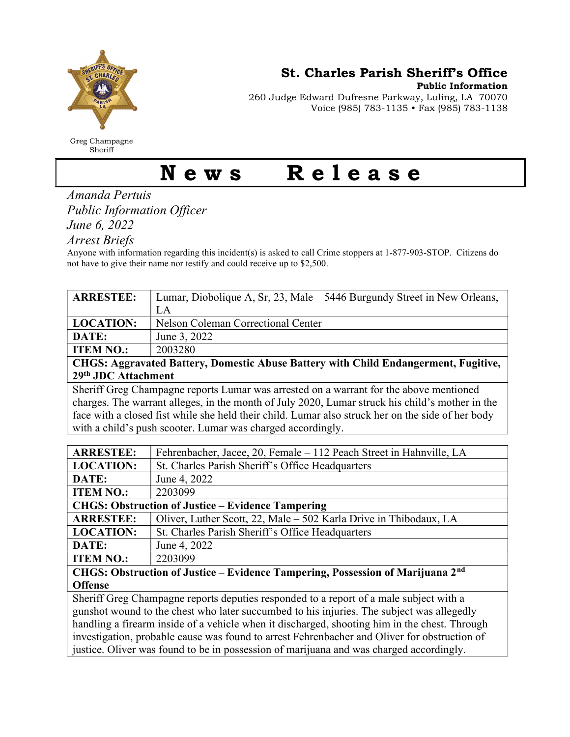

Greg Champagne **Sheriff** 

St. Charles Parish Sheriff's Office

Public Information

260 Judge Edward Dufresne Parkway, Luling, LA 70070 Voice (985) 783-1135 • Fax (985) 783-1138

## News Release

Amanda Pertuis Public Information Officer

June 6, 2022

Arrest Briefs

Anyone with information regarding this incident(s) is asked to call Crime stoppers at 1-877-903-STOP. Citizens do not have to give their name nor testify and could receive up to \$2,500.

| <b>ARRESTEE:</b>                                                                                  | Lumar, Diobolique A, Sr, 23, Male – 5446 Burgundy Street in New Orleans,                |  |
|---------------------------------------------------------------------------------------------------|-----------------------------------------------------------------------------------------|--|
|                                                                                                   | LA                                                                                      |  |
| <b>LOCATION:</b>                                                                                  | Nelson Coleman Correctional Center                                                      |  |
| DATE:                                                                                             | June 3, 2022                                                                            |  |
| <b>ITEM NO.:</b>                                                                                  | 2003280                                                                                 |  |
| CHGS: Aggravated Battery, Domestic Abuse Battery with Child Endangerment, Fugitive,               |                                                                                         |  |
| 29th JDC Attachment                                                                               |                                                                                         |  |
| Sheriff Greg Champagne reports Lumar was arrested on a warrant for the above mentioned            |                                                                                         |  |
| charges. The warrant alleges, in the month of July 2020, Lumar struck his child's mother in the   |                                                                                         |  |
| face with a closed fist while she held their child. Lumar also struck her on the side of her body |                                                                                         |  |
| with a child's push scooter. Lumar was charged accordingly.                                       |                                                                                         |  |
|                                                                                                   |                                                                                         |  |
| <b>ARRESTEE:</b>                                                                                  | Fehrenbacher, Jacee, 20, Female - 112 Peach Street in Hahnville, LA                     |  |
| <b>LOCATION:</b>                                                                                  | St. Charles Parish Sheriff's Office Headquarters                                        |  |
| DATE:                                                                                             | June 4, 2022                                                                            |  |
| <b>ITEM NO.:</b>                                                                                  | 2203099                                                                                 |  |
| <b>CHGS: Obstruction of Justice - Evidence Tampering</b>                                          |                                                                                         |  |
| <b>ARRESTEE:</b>                                                                                  | Oliver, Luther Scott, 22, Male - 502 Karla Drive in Thibodaux, LA                       |  |
| <b>LOCATION:</b>                                                                                  | St. Charles Parish Sheriff's Office Headquarters                                        |  |
| DATE:                                                                                             | June 4, 2022                                                                            |  |
| <b>ITEM NO.:</b>                                                                                  | 2203099                                                                                 |  |
| CHGS: Obstruction of Justice - Evidence Tampering, Possession of Marijuana 2nd                    |                                                                                         |  |
| <b>Offense</b>                                                                                    |                                                                                         |  |
| Sheriff Greg Champagne reports deputies responded to a report of a male subject with a            |                                                                                         |  |
| gunshot wound to the chest who later succumbed to his injuries. The subject was allegedly         |                                                                                         |  |
| handling a firearm inside of a vehicle when it discharged, shooting him in the chest. Through     |                                                                                         |  |
| investigation, probable cause was found to arrest Fehrenbacher and Oliver for obstruction of      |                                                                                         |  |
|                                                                                                   | justice. Oliver was found to be in possession of marijuana and was charged accordingly. |  |